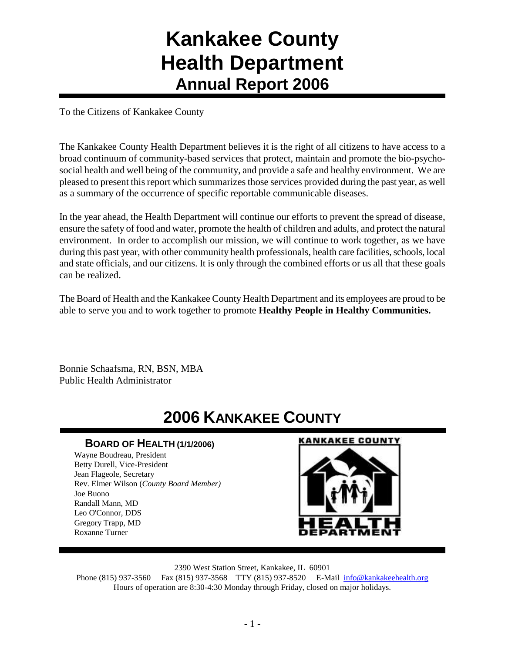## **Kankakee County Health Department Annual Report 2006**

To the Citizens of Kankakee County

The Kankakee County Health Department believes it is the right of all citizens to have access to a broad continuum of community-based services that protect, maintain and promote the bio-psychosocial health and well being of the community, and provide a safe and healthy environment. We are pleased to present this report which summarizes those services provided during the past year, as well as a summary of the occurrence of specific reportable communicable diseases.

In the year ahead, the Health Department will continue our efforts to prevent the spread of disease, ensure the safety of food and water, promote the health of children and adults, and protect the natural environment. In order to accomplish our mission, we will continue to work together, as we have during this past year, with other community health professionals, health care facilities, schools, local and state officials, and our citizens. It is only through the combined efforts or us all that these goals can be realized.

The Board of Health and the Kankakee County Health Department and its employees are proud to be able to serve you and to work together to promote **Healthy People in Healthy Communities.**

Bonnie Schaafsma, RN, BSN, MBA Public Health Administrator

## **2006 KANKAKEE COUNTY**

#### **BOARD OF HEALTH (1/1/2006)**

Wayne Boudreau, President Betty Durell, Vice-President Jean Flageole, Secretary Rev. Elmer Wilson (*County Board Member)* Joe Buono Randall Mann, MD Leo O'Connor, DDS Gregory Trapp, MD Roxanne Turner

#### **KANKAKEE COUNTY**



2390 West Station Street, Kankakee, IL 60901

Phone (815) 937-3560 Fax (815) 937-3568 TTY (815) 937-8520 E-Mail [info@kankakeehealth.org](mailto:pkankake@idphnet.com) Hours of operation are 8:30-4:30 Monday through Friday, closed on major holidays.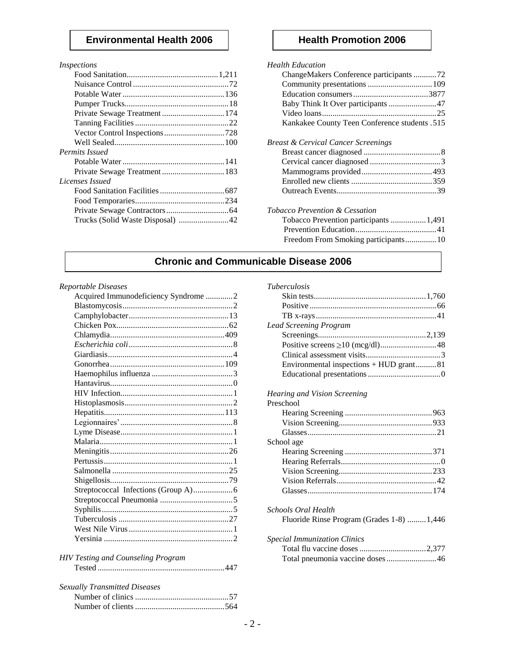#### **Environmental Health 2006** | **Health Promotion 2006**

| <i>Inspections</i>               |  |
|----------------------------------|--|
|                                  |  |
|                                  |  |
|                                  |  |
|                                  |  |
| Private Sewage Treatment 174     |  |
|                                  |  |
|                                  |  |
|                                  |  |
| Permits Issued                   |  |
|                                  |  |
|                                  |  |
| Licenses Issued                  |  |
|                                  |  |
|                                  |  |
|                                  |  |
| Trucks (Solid Waste Disposal) 42 |  |
|                                  |  |

#### *Health Education* ChangeMakers Conference participants ...........72 Community presentations ...............................109 Education consumers....................................3877 Baby Think It Over participants.......................47 Video loans.......................................................25 Kankakee County Teen Conference students .515 *Breast & Cervical Cancer Screenings* Breast cancer diagnosed .....................................8 Cervical cancer diagnosed ..................................3 Mammograms provided..................................493 Enrolled new clients .......................................359 Outreach Events................................................39 *Tobacco Prevention & Cessation* Tobacco Prevention participants .................1,491 Prevention Education.......................................41 Freedom From Smoking participants...............10

#### **Chronic and Communicable Disease 2006**

#### *Reportable Diseases*

| Acquired Immunodeficiency Syndrome 2 |  |
|--------------------------------------|--|
|                                      |  |
|                                      |  |
|                                      |  |
|                                      |  |
|                                      |  |
|                                      |  |
|                                      |  |
|                                      |  |
|                                      |  |
|                                      |  |
|                                      |  |
|                                      |  |
|                                      |  |
|                                      |  |
|                                      |  |
|                                      |  |
|                                      |  |
|                                      |  |
|                                      |  |
|                                      |  |
|                                      |  |
|                                      |  |
|                                      |  |
|                                      |  |
|                                      |  |
|                                      |  |

#### *HIV Testing and Counseling Program* Tested .............................................................447

| <b>Sexually Transmitted Diseases</b> |  |
|--------------------------------------|--|
|                                      |  |
|                                      |  |

| <b>Tuberculosis</b>                     |  |
|-----------------------------------------|--|
|                                         |  |
|                                         |  |
|                                         |  |
| <b>Lead Screening Program</b>           |  |
|                                         |  |
|                                         |  |
|                                         |  |
| Environmental inspections + HUD grant81 |  |
|                                         |  |
|                                         |  |

#### *Hearing and Vision Screening*

| Preschool                                  |  |
|--------------------------------------------|--|
|                                            |  |
|                                            |  |
|                                            |  |
| School age                                 |  |
|                                            |  |
|                                            |  |
|                                            |  |
|                                            |  |
|                                            |  |
| Schools Oral Health                        |  |
| Fluoride Rinse Program (Grades 1-8)  1,446 |  |
| <b>Special Immunization Clinics</b>        |  |

| Total pneumonia vaccine doses46 |  |
|---------------------------------|--|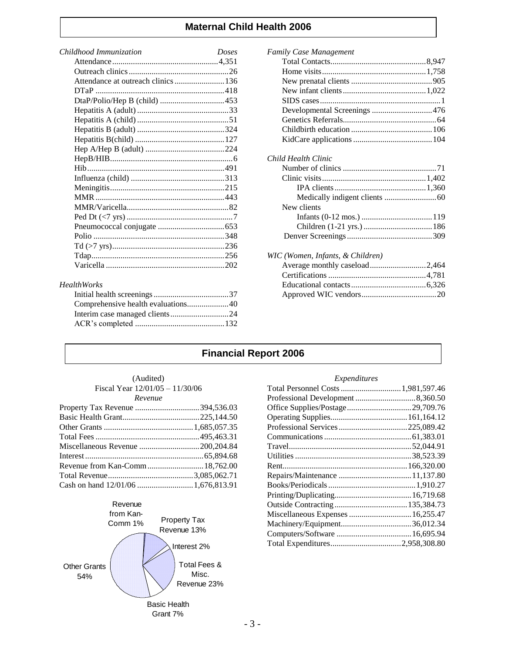#### **Maternal Child Health 2006**

| Childhood Immunization                        | Doses |
|-----------------------------------------------|-------|
|                                               |       |
|                                               |       |
| Attendance at outreach clinics 136            |       |
|                                               |       |
|                                               |       |
|                                               |       |
|                                               |       |
|                                               |       |
|                                               |       |
|                                               |       |
|                                               |       |
|                                               |       |
|                                               |       |
|                                               |       |
|                                               |       |
|                                               |       |
|                                               |       |
|                                               |       |
|                                               |       |
|                                               |       |
|                                               |       |
|                                               |       |
| $H_{\alpha\alpha}$ lth $W_{\alpha\alpha}$ lzg |       |

#### *HealthWorks*

| Comprehensive health evaluations40 |  |
|------------------------------------|--|
|                                    |  |
|                                    |  |

#### *Family Case Management*

| Developmental Screenings 476     |  |
|----------------------------------|--|
|                                  |  |
|                                  |  |
|                                  |  |
| Child Health Clinic              |  |
|                                  |  |
|                                  |  |
|                                  |  |
|                                  |  |
| New clients                      |  |
|                                  |  |
|                                  |  |
|                                  |  |
| WIC (Women, Infants, & Children) |  |
| Average monthly caseload2,464    |  |
|                                  |  |
|                                  |  |
|                                  |  |

#### **Financial Report 2006**

| (Audited)                         |
|-----------------------------------|
| Fiscal Year $12/01/05 - 11/30/06$ |
| Revenue                           |

| Miscellaneous Revenue 200,204.84 |  |
|----------------------------------|--|
|                                  |  |
|                                  |  |
|                                  |  |
|                                  |  |



#### *Expenditures*

Approved WIC vendors....................................20

| Total Personnel Costs  1,981,597.46 |  |
|-------------------------------------|--|
|                                     |  |
|                                     |  |
|                                     |  |
|                                     |  |
|                                     |  |
|                                     |  |
|                                     |  |
|                                     |  |
|                                     |  |
|                                     |  |
|                                     |  |
|                                     |  |
|                                     |  |
|                                     |  |
|                                     |  |
|                                     |  |